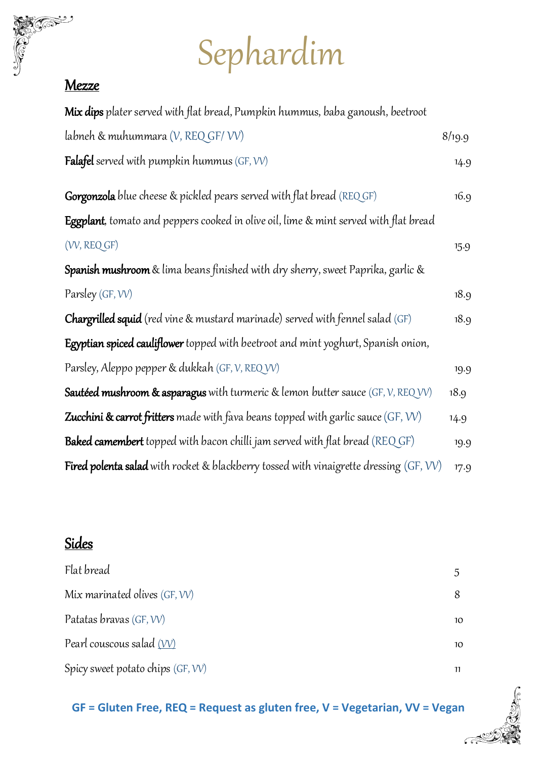# Sephardim

#### **Mezze**

**Tool** 

| <b>Mix dips</b> plater served with flat bread, Pumpkin hummus, baba ganoush, beetroot           |        |
|-------------------------------------------------------------------------------------------------|--------|
| labneh & muhummara (V, REQ GF/VV)                                                               | 8/19.9 |
| <b>Falafel</b> served with pumpkin hummus $(GF, VV)$                                            | 14.9   |
| <b>Gorgonzola</b> blue cheese & pickled pears served with flat bread (REQ GF)                   | 16.9   |
| Eggplant, tomato and peppers cooked in olive oil, lime & mint served with flat bread            |        |
| (VV, REQ GF)                                                                                    | 15.9   |
| <b>Spanish mushroom</b> & lima beans finished with dry sherry, sweet Paprika, garlic &          |        |
| Parsley (GF, VV)                                                                                | 18.9   |
| <b>Chargrilled squid</b> (red vine & mustard marinade) served with fennel salad (GF)            | 18.9   |
| Egyptian spiced cauliflower topped with beetroot and mint yoghurt, Spanish onion,               |        |
| Parsley, Aleppo pepper & dukkah (GF, V, REQ VV)                                                 | 19.9   |
| <b>Sautéed mushroom &amp; asparagus</b> with turmeric & lemon butter sauce $(GF, V, REQVV)$     | 18.9   |
| <b>Zucchini &amp; carrot fritters</b> made with fava beans topped with garlic sauce (GF, VV)    | 14.9   |
| <b>Baked camembert</b> topped with bacon chilli jam served with flat bread (REQ GF)             | 19.9   |
| <b>Fired polenta salad</b> with rocket & blackberry tossed with vinaigrette dressing $(GF, VV)$ | 17.9   |

## Sides

| Flat bread                          |    |
|-------------------------------------|----|
| Mix marinated olives $(GF, VV)$     |    |
| Patatas bravas (GF, VV)             | 10 |
| Pearl couscous salad (VV)           | 10 |
| Spicy sweet potato chips $(GF, VV)$ |    |

### **GF = Gluten Free, REQ = Request as gluten free, V = Vegetarian, VV = Vegan**